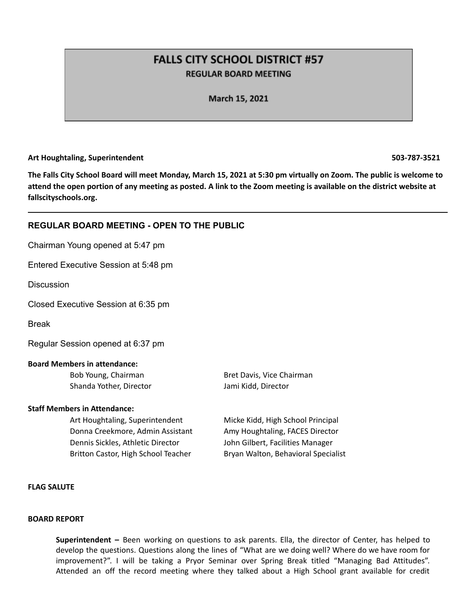# **FALLS CITY SCHOOL DISTRICT #57 REGULAR BOARD MEETING**

March 15, 2021

#### **Art Houghtaling, Superintendent 503-787-3521**

The Falls City School Board will meet Monday, March 15, 2021 at 5:30 pm virtually on Zoom. The public is welcome to attend the open portion of any meeting as posted. A link to the Zoom meeting is available on the district website at **fallscityschools.org.**

# **REGULAR BOARD MEETING - OPEN TO THE PUBLIC**

Chairman Young opened at 5:47 pm

Entered Executive Session at 5:48 pm

**Discussion** 

Closed Executive Session at 6:35 pm

Break

Regular Session opened at 6:37 pm

#### **Board Members in attendance:**

Shanda Yother, Director Jami Kidd, Director

#### **Staff Members in Attendance:**

Art Houghtaling, Superintendent Micke Kidd, High School Principal Donna Creekmore, Admin Assistant Amy Houghtaling, FACES Director Dennis Sickles, Athletic Director John Gilbert, Facilities Manager Britton Castor, High School Teacher Bryan Walton, Behavioral Specialist

Bob Young, Chairman Bret Davis, Vice Chairman

# **FLAG SALUTE**

#### **BOARD REPORT**

**Superintendent –** Been working on questions to ask parents. Ella, the director of Center, has helped to develop the questions. Questions along the lines of "What are we doing well? Where do we have room for improvement?". I will be taking a Pryor Seminar over Spring Break titled "Managing Bad Attitudes". Attended an off the record meeting where they talked about a High School grant available for credit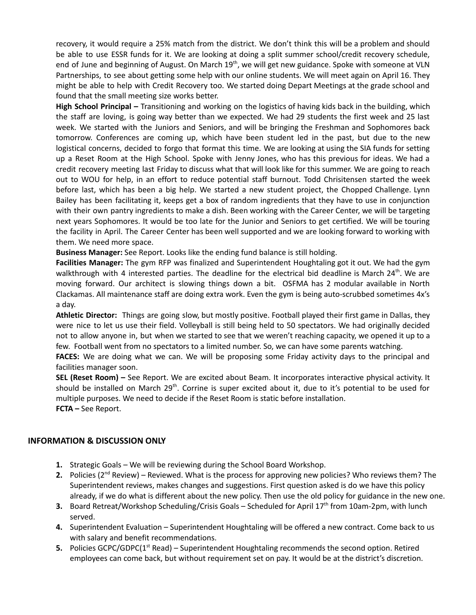recovery, it would require a 25% match from the district. We don't think this will be a problem and should be able to use ESSR funds for it. We are looking at doing a split summer school/credit recovery schedule, end of June and beginning of August. On March 19<sup>th</sup>, we will get new guidance. Spoke with someone at VLN Partnerships, to see about getting some help with our online students. We will meet again on April 16. They might be able to help with Credit Recovery too. We started doing Depart Meetings at the grade school and found that the small meeting size works better.

**High School Principal –** Transitioning and working on the logistics of having kids back in the building, which the staff are loving, is going way better than we expected. We had 29 students the first week and 25 last week. We started with the Juniors and Seniors, and will be bringing the Freshman and Sophomores back tomorrow. Conferences are coming up, which have been student led in the past, but due to the new logistical concerns, decided to forgo that format this time. We are looking at using the SIA funds for setting up a Reset Room at the High School. Spoke with Jenny Jones, who has this previous for ideas. We had a credit recovery meeting last Friday to discuss what that will look like for this summer. We are going to reach out to WOU for help, in an effort to reduce potential staff burnout. Todd Chrisitensen started the week before last, which has been a big help. We started a new student project, the Chopped Challenge. Lynn Bailey has been facilitating it, keeps get a box of random ingredients that they have to use in conjunction with their own pantry ingredients to make a dish. Been working with the Career Center, we will be targeting next years Sophomores. It would be too late for the Junior and Seniors to get certified. We will be touring the facility in April. The Career Center has been well supported and we are looking forward to working with them. We need more space.

**Business Manager:** See Report. Looks like the ending fund balance is still holding.

**Facilities Manager:** The gym RFP was finalized and Superintendent Houghtaling got it out. We had the gym walkthrough with 4 interested parties. The deadline for the electrical bid deadline is March 24<sup>th</sup>. We are moving forward. Our architect is slowing things down a bit. OSFMA has 2 modular available in North Clackamas. All maintenance staff are doing extra work. Even the gym is being auto-scrubbed sometimes 4x's a day.

**Athletic Director:** Things are going slow, but mostly positive. Football played their first game in Dallas, they were nice to let us use their field. Volleyball is still being held to 50 spectators. We had originally decided not to allow anyone in, but when we started to see that we weren't reaching capacity, we opened it up to a few. Football went from no spectators to a limited number. So, we can have some parents watching.

**FACES:** We are doing what we can. We will be proposing some Friday activity days to the principal and facilities manager soon.

**SEL (Reset Room) –** See Report. We are excited about Beam. It incorporates interactive physical activity. It should be installed on March 29<sup>th</sup>. Corrine is super excited about it, due to it's potential to be used for multiple purposes. We need to decide if the Reset Room is static before installation. **FCTA –** See Report.

# **INFORMATION & DISCUSSION ONLY**

- **1.** Strategic Goals We will be reviewing during the School Board Workshop.
- 2. Policies (2<sup>nd</sup> Review) Reviewed. What is the process for approving new policies? Who reviews them? The Superintendent reviews, makes changes and suggestions. First question asked is do we have this policy already, if we do what is different about the new policy. Then use the old policy for guidance in the new one.
- 3. Board Retreat/Workshop Scheduling/Crisis Goals Scheduled for April 17<sup>th</sup> from 10am-2pm, with lunch served.
- **4.** Superintendent Evaluation Superintendent Houghtaling will be offered a new contract. Come back to us with salary and benefit recommendations.
- **5.** Policies GCPC/GDPC(1<sup>st</sup> Read) Superintendent Houghtaling recommends the second option. Retired employees can come back, but without requirement set on pay. It would be at the district's discretion.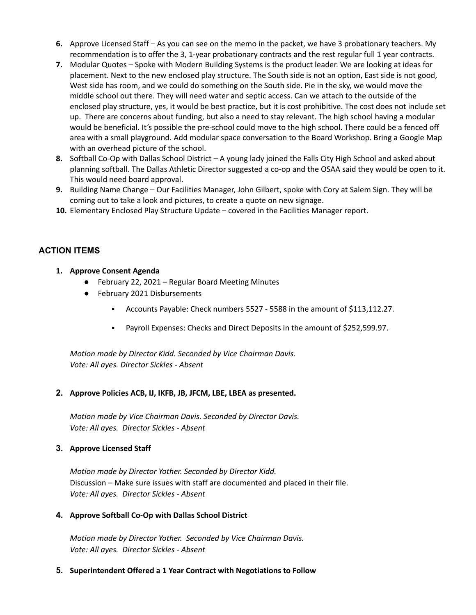- **6.** Approve Licensed Staff As you can see on the memo in the packet, we have 3 probationary teachers. My recommendation is to offer the 3, 1-year probationary contracts and the rest regular full 1 year contracts.
- **7.** Modular Quotes Spoke with Modern Building Systems is the product leader. We are looking at ideas for placement. Next to the new enclosed play structure. The South side is not an option, East side is not good, West side has room, and we could do something on the South side. Pie in the sky, we would move the middle school out there. They will need water and septic access. Can we attach to the outside of the enclosed play structure, yes, it would be best practice, but it is cost prohibitive. The cost does not include set up. There are concerns about funding, but also a need to stay relevant. The high school having a modular would be beneficial. It's possible the pre-school could move to the high school. There could be a fenced off area with a small playground. Add modular space conversation to the Board Workshop. Bring a Google Map with an overhead picture of the school.
- **8.** Softball Co-Op with Dallas School District A young lady joined the Falls City High School and asked about planning softball. The Dallas Athletic Director suggested a co-op and the OSAA said they would be open to it. This would need board approval.
- **9.** Building Name Change Our Facilities Manager, John Gilbert, spoke with Cory at Salem Sign. They will be coming out to take a look and pictures, to create a quote on new signage.
- **10.** Elementary Enclosed Play Structure Update covered in the Facilities Manager report.

# **ACTION ITEMS**

# **1. Approve Consent Agenda**

- February 22, 2021 Regular Board Meeting Minutes
- February 2021 Disbursements
	- Accounts Payable: Check numbers 5527 5588 in the amount of \$113,112.27.
	- Payroll Expenses: Checks and Direct Deposits in the amount of \$252,599.97.

*Motion made by Director Kidd. Seconded by Vice Chairman Davis. Vote: All ayes. Director Sickles - Absent*

# **2. Approve Policies ACB, IJ, IKFB, JB, JFCM, LBE, LBEA as presented.**

*Motion made by Vice Chairman Davis. Seconded by Director Davis. Vote: All ayes. Director Sickles - Absent*

# **3. Approve Licensed Staff**

*Motion made by Director Yother. Seconded by Director Kidd.* Discussion – Make sure issues with staff are documented and placed in their file. *Vote: All ayes. Director Sickles - Absent*

# **4. Approve Softball Co-Op with Dallas School District**

*Motion made by Director Yother. Seconded by Vice Chairman Davis. Vote: All ayes. Director Sickles - Absent*

# **5. Superintendent Offered a 1 Year Contract with Negotiations to Follow**